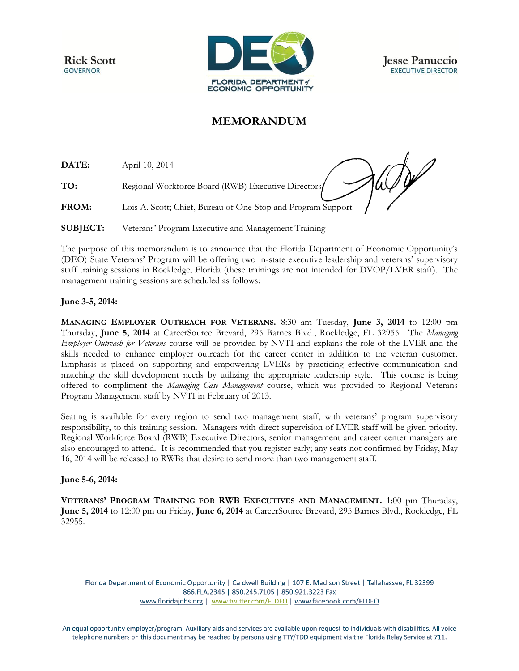**Rick Scott GOVERNOR** 



**Jesse Panuccio EXECUTIVE DIRECTOR** 

## **MEMORANDUM**

**DATE:** April 10, 2014

**TO:** Regional Workforce Board (RWB) Executive Directors

del **FROM:** Lois A. Scott; Chief, Bureau of One-Stop and Program Support

**SUBJECT:** Veterans' Program Executive and Management Training

The purpose of this memorandum is to announce that the Florida Department of Economic Opportunity's (DEO) State Veterans' Program will be offering two in-state executive leadership and veterans' supervisory staff training sessions in Rockledge, Florida (these trainings are not intended for DVOP/LVER staff). The management training sessions are scheduled as follows:

## **June 3-5, 2014:**

**MANAGING EMPLOYER OUTREACH FOR VETERANS.** 8:30 am Tuesday, **June 3, 2014** to 12:00 pm Thursday, **June 5, 2014** at CareerSource Brevard, 295 Barnes Blvd., Rockledge, FL 32955. The *Managing Employer Outreach for Veterans* course will be provided by NVTI and explains the role of the LVER and the skills needed to enhance employer outreach for the career center in addition to the veteran customer. Emphasis is placed on supporting and empowering LVERs by practicing effective communication and matching the skill development needs by utilizing the appropriate leadership style. This course is being offered to compliment the *Managing Case Management* course, which was provided to Regional Veterans Program Management staff by NVTI in February of 2013.

Seating is available for every region to send two management staff, with veterans' program supervisory responsibility, to this training session. Managers with direct supervision of LVER staff will be given priority. Regional Workforce Board (RWB) Executive Directors, senior management and career center managers are also encouraged to attend. It is recommended that you register early; any seats not confirmed by Friday, May 16, 2014 will be released to RWBs that desire to send more than two management staff.

## **June 5-6, 2014:**

**VETERANS' PROGRAM TRAINING FOR RWB EXECUTIVES AND MANAGEMENT.** 1:00 pm Thursday, **June 5, 2014** to 12:00 pm on Friday, **June 6, 2014** at CareerSource Brevard, 295 Barnes Blvd., Rockledge, FL 32955.

Florida Department of Economic Opportunity | Caldwell Building | 107 E. Madison Street | Tallahassee, FL 32399 866.FLA.2345 | 850.245.7105 | 850.921.3223 Fax www.floridajobs.org | www.twitter.com/FLDEO | www.facebook.com/FLDEO

An equal opportunity employer/program. Auxiliary aids and services are available upon request to individuals with disabilities. All voice telephone numbers on this document may be reached by persons using TTY/TDD equipment via the Florida Relay Service at 711.